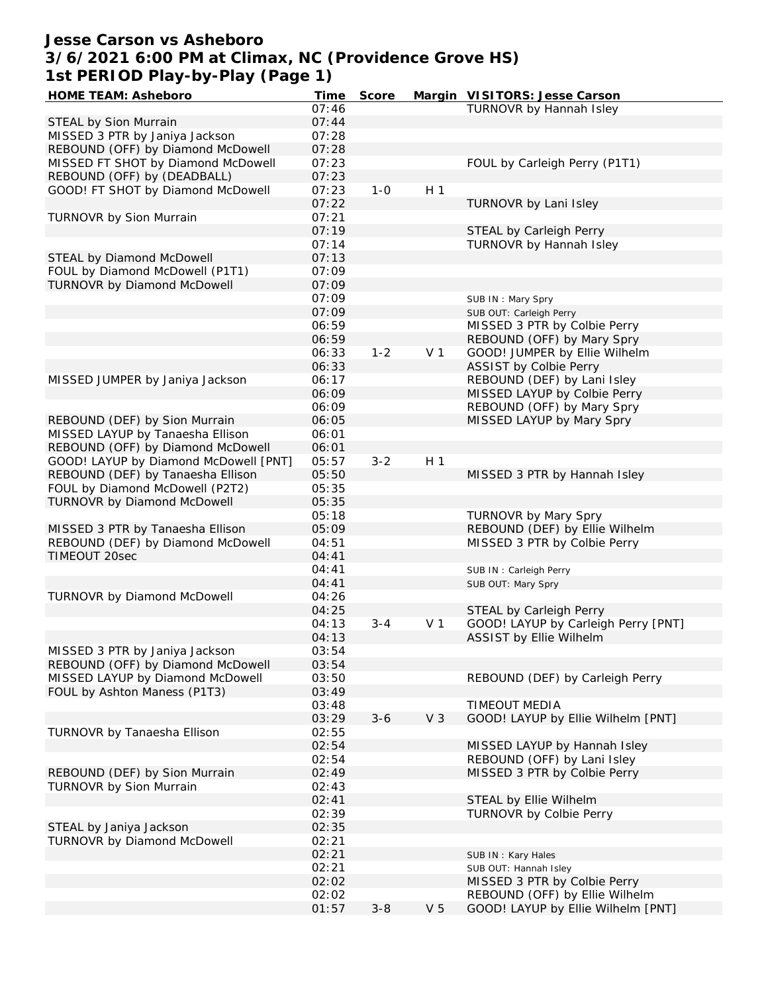#### **Jesse Carson vs Asheboro 3/6/2021 6:00 PM at Climax, NC (Providence Grove HS) 1st PERIOD Play-by-Play (Page 1)**

| HOME TEAM: Asheboro                   | Time  | Score   |                | Margin VISITORS: Jesse Carson       |
|---------------------------------------|-------|---------|----------------|-------------------------------------|
|                                       | 07:46 |         |                | <b>TURNOVR by Hannah Isley</b>      |
| STEAL by Sion Murrain                 | 07:44 |         |                |                                     |
| MISSED 3 PTR by Janiya Jackson        | 07:28 |         |                |                                     |
| REBOUND (OFF) by Diamond McDowell     | 07:28 |         |                |                                     |
| MISSED FT SHOT by Diamond McDowell    | 07:23 |         |                | FOUL by Carleigh Perry (P1T1)       |
| REBOUND (OFF) by (DEADBALL)           | 07:23 |         |                |                                     |
| GOOD! FT SHOT by Diamond McDowell     | 07:23 | $1 - 0$ | H <sub>1</sub> |                                     |
|                                       | 07:22 |         |                | TURNOVR by Lani Isley               |
| TURNOVR by Sion Murrain               | 07:21 |         |                |                                     |
|                                       | 07:19 |         |                | STEAL by Carleigh Perry             |
|                                       | 07:14 |         |                | TURNOVR by Hannah Isley             |
| STEAL by Diamond McDowell             | 07:13 |         |                |                                     |
| FOUL by Diamond McDowell (P1T1)       | 07:09 |         |                |                                     |
| TURNOVR by Diamond McDowell           | 07:09 |         |                |                                     |
|                                       |       |         |                |                                     |
|                                       | 07:09 |         |                | SUB IN: Mary Spry                   |
|                                       | 07:09 |         |                | SUB OUT: Carleigh Perry             |
|                                       | 06:59 |         |                | MISSED 3 PTR by Colbie Perry        |
|                                       | 06:59 |         |                | REBOUND (OFF) by Mary Spry          |
|                                       | 06:33 | $1 - 2$ | V <sub>1</sub> | GOOD! JUMPER by Ellie Wilhelm       |
|                                       | 06:33 |         |                | <b>ASSIST by Colbie Perry</b>       |
| MISSED JUMPER by Janiya Jackson       | 06:17 |         |                | REBOUND (DEF) by Lani Isley         |
|                                       | 06:09 |         |                | MISSED LAYUP by Colbie Perry        |
|                                       | 06:09 |         |                | REBOUND (OFF) by Mary Spry          |
| REBOUND (DEF) by Sion Murrain         | 06:05 |         |                | MISSED LAYUP by Mary Spry           |
| MISSED LAYUP by Tanaesha Ellison      | 06:01 |         |                |                                     |
| REBOUND (OFF) by Diamond McDowell     | 06:01 |         |                |                                     |
| GOOD! LAYUP by Diamond McDowell [PNT] | 05:57 | $3 - 2$ | H <sub>1</sub> |                                     |
| REBOUND (DEF) by Tanaesha Ellison     | 05:50 |         |                | MISSED 3 PTR by Hannah Isley        |
| FOUL by Diamond McDowell (P2T2)       | 05:35 |         |                |                                     |
| <b>TURNOVR by Diamond McDowell</b>    | 05:35 |         |                |                                     |
|                                       | 05:18 |         |                | TURNOVR by Mary Spry                |
| MISSED 3 PTR by Tanaesha Ellison      | 05:09 |         |                | REBOUND (DEF) by Ellie Wilhelm      |
| REBOUND (DEF) by Diamond McDowell     | 04:51 |         |                | MISSED 3 PTR by Colbie Perry        |
| TIMEOUT 20sec                         | 04:41 |         |                |                                     |
|                                       | 04:41 |         |                |                                     |
|                                       | 04:41 |         |                | SUB IN: Carleigh Perry              |
|                                       |       |         |                | SUB OUT: Mary Spry                  |
| TURNOVR by Diamond McDowell           | 04:26 |         |                |                                     |
|                                       | 04:25 |         |                | STEAL by Carleigh Perry             |
|                                       | 04:13 | $3 - 4$ | V <sub>1</sub> | GOOD! LAYUP by Carleigh Perry [PNT] |
|                                       | 04:13 |         |                | ASSIST by Ellie Wilhelm             |
| MISSED 3 PTR by Janiya Jackson        | 03:54 |         |                |                                     |
| REBOUND (OFF) by Diamond McDowell     | 03:54 |         |                |                                     |
| MISSED LAYUP by Diamond McDowell      | 03:50 |         |                | REBOUND (DEF) by Carleigh Perry     |
| FOUL by Ashton Maness (P1T3)          | 03:49 |         |                |                                     |
|                                       | 03:48 |         |                | TIMEOUT MEDIA                       |
|                                       | 03:29 | $3 - 6$ | V <sub>3</sub> | GOOD! LAYUP by Ellie Wilhelm [PNT]  |
| TURNOVR by Tanaesha Ellison           | 02:55 |         |                |                                     |
|                                       | 02:54 |         |                | MISSED LAYUP by Hannah Isley        |
|                                       | 02:54 |         |                | REBOUND (OFF) by Lani Isley         |
| REBOUND (DEF) by Sion Murrain         | 02:49 |         |                | MISSED 3 PTR by Colbie Perry        |
| TURNOVR by Sion Murrain               | 02:43 |         |                |                                     |
|                                       | 02:41 |         |                | STEAL by Ellie Wilhelm              |
|                                       | 02:39 |         |                | <b>TURNOVR by Colbie Perry</b>      |
| STEAL by Janiya Jackson               | 02:35 |         |                |                                     |
| TURNOVR by Diamond McDowell           | 02:21 |         |                |                                     |
|                                       | 02:21 |         |                | SUB IN: Kary Hales                  |
|                                       | 02:21 |         |                | SUB OUT: Hannah Isley               |
|                                       | 02:02 |         |                | MISSED 3 PTR by Colbie Perry        |
|                                       | 02:02 |         |                | REBOUND (OFF) by Ellie Wilhelm      |
|                                       | 01:57 | $3 - 8$ | V <sub>5</sub> | GOOD! LAYUP by Ellie Wilhelm [PNT]  |
|                                       |       |         |                |                                     |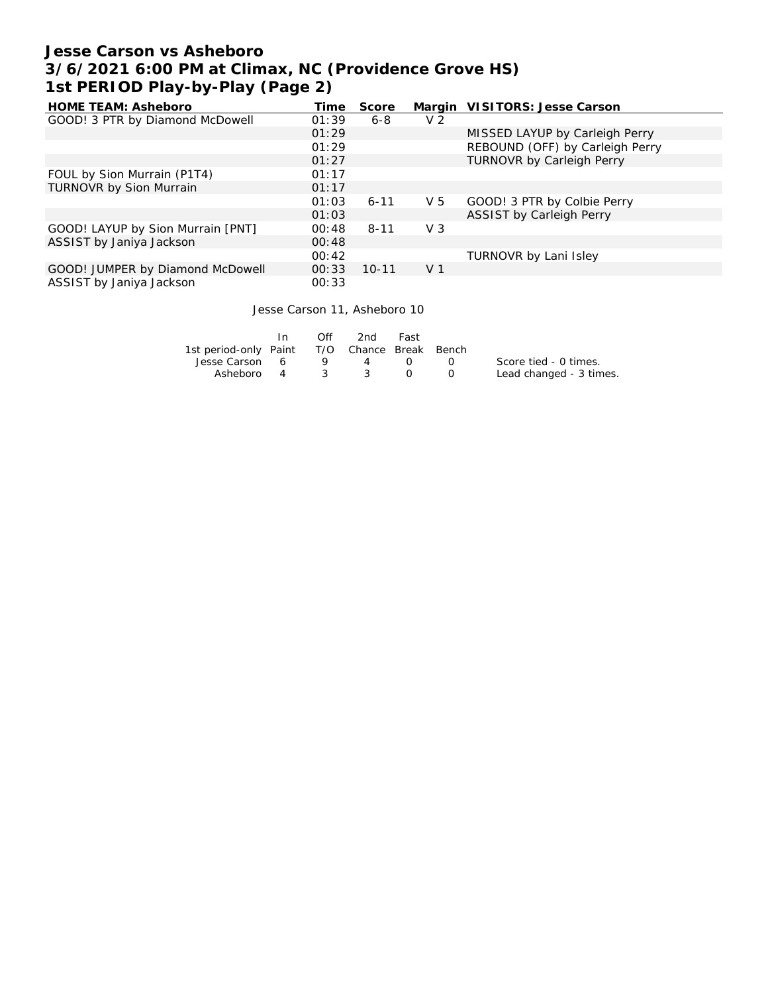### **Jesse Carson vs Asheboro 3/6/2021 6:00 PM at Climax, NC (Providence Grove HS) 1st PERIOD Play-by-Play (Page 2)**

| <b>HOME TEAM: Asheboro</b>        | Time  | Score     |                | Margin VISITORS: Jesse Carson    |
|-----------------------------------|-------|-----------|----------------|----------------------------------|
| GOOD! 3 PTR by Diamond McDowell   | 01:39 | 6-8       | V <sub>2</sub> |                                  |
|                                   | 01:29 |           |                | MISSED LAYUP by Carleigh Perry   |
|                                   | 01:29 |           |                | REBOUND (OFF) by Carleigh Perry  |
|                                   | 01:27 |           |                | <b>TURNOVR by Carleigh Perry</b> |
| FOUL by Sion Murrain (P1T4)       | 01:17 |           |                |                                  |
| TURNOVR by Sion Murrain           | 01:17 |           |                |                                  |
|                                   | 01:03 | $6 - 11$  | V <sub>5</sub> | GOOD! 3 PTR by Colbie Perry      |
|                                   | 01:03 |           |                | ASSIST by Carleigh Perry         |
| GOOD! LAYUP by Sion Murrain [PNT] | 00:48 | $8 - 11$  | V <sub>3</sub> |                                  |
| ASSIST by Janiya Jackson          | 00:48 |           |                |                                  |
|                                   | 00:42 |           |                | TURNOVR by Lani Isley            |
| GOOD! JUMPER by Diamond McDowell  | 00:33 | $10 - 11$ | V <sub>1</sub> |                                  |
| ASSIST by Janiya Jackson          | 00:33 |           |                |                                  |

#### Jesse Carson 11, Asheboro 10

|                                              | In. | $\bigcirc$ ff | 2nd | Fast |            |                         |
|----------------------------------------------|-----|---------------|-----|------|------------|-------------------------|
| 1st period-only Paint T/O Chance Break Bench |     |               |     |      |            |                         |
| Jesse Carson 6                               |     |               | 9 4 |      | $\sqrt{1}$ | Score tied - 0 times.   |
| Asheboro 4 3 3                               |     |               |     |      |            | Lead changed - 3 times. |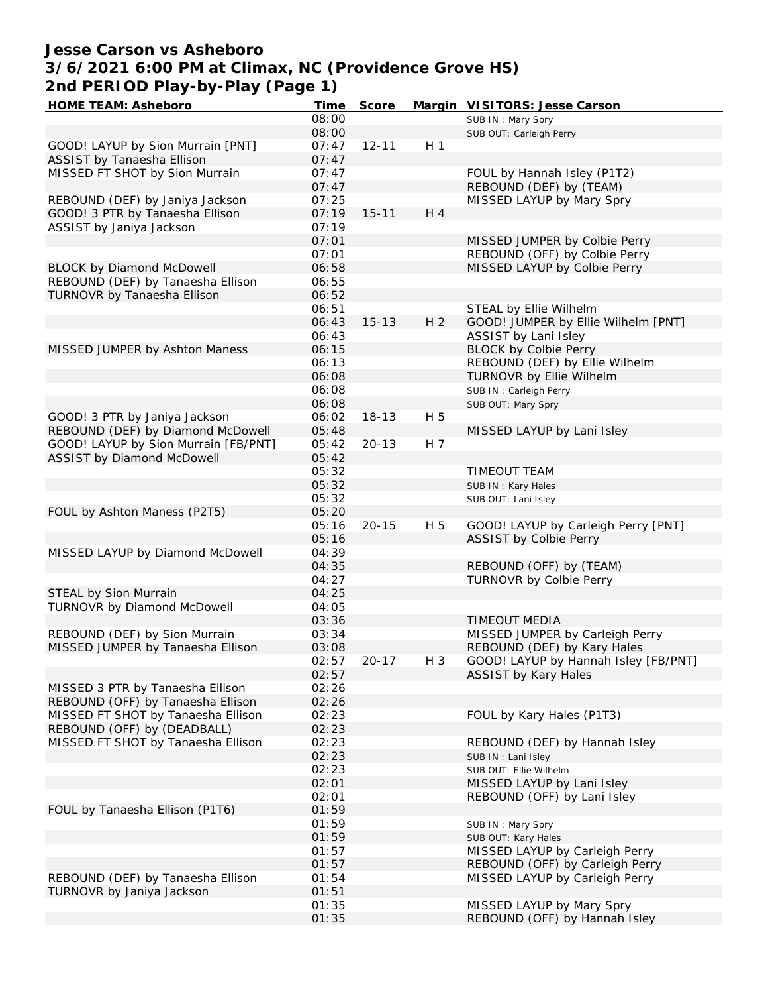### **Jesse Carson vs Asheboro 3/6/2021 6:00 PM at Climax, NC (Providence Grove HS) 2nd PERIOD Play-by-Play (Page 1)**

| HOME TEAM: Asheboro                  | Time  | Score     |                | Margin VISITORS: Jesse Carson        |
|--------------------------------------|-------|-----------|----------------|--------------------------------------|
|                                      | 08:00 |           |                | SUB IN: Mary Spry                    |
|                                      | 08:00 |           |                | SUB OUT: Carleigh Perry              |
| GOOD! LAYUP by Sion Murrain [PNT]    | 07:47 | $12 - 11$ | H <sub>1</sub> |                                      |
| ASSIST by Tanaesha Ellison           | 07:47 |           |                |                                      |
| MISSED FT SHOT by Sion Murrain       | 07:47 |           |                | FOUL by Hannah Isley (P1T2)          |
|                                      | 07:47 |           |                | REBOUND (DEF) by (TEAM)              |
| REBOUND (DEF) by Janiya Jackson      | 07:25 |           |                | MISSED LAYUP by Mary Spry            |
| GOOD! 3 PTR by Tanaesha Ellison      | 07:19 | $15 - 11$ | H 4            |                                      |
| ASSIST by Janiya Jackson             | 07:19 |           |                |                                      |
|                                      | 07:01 |           |                | MISSED JUMPER by Colbie Perry        |
|                                      |       |           |                | REBOUND (OFF) by Colbie Perry        |
|                                      | 07:01 |           |                |                                      |
| <b>BLOCK by Diamond McDowell</b>     | 06:58 |           |                | MISSED LAYUP by Colbie Perry         |
| REBOUND (DEF) by Tanaesha Ellison    | 06:55 |           |                |                                      |
| TURNOVR by Tanaesha Ellison          | 06:52 |           |                |                                      |
|                                      | 06:51 |           |                | STEAL by Ellie Wilhelm               |
|                                      | 06:43 | $15 - 13$ | H <sub>2</sub> | GOOD! JUMPER by Ellie Wilhelm [PNT]  |
|                                      | 06:43 |           |                | ASSIST by Lani Isley                 |
| MISSED JUMPER by Ashton Maness       | 06:15 |           |                | <b>BLOCK by Colbie Perry</b>         |
|                                      | 06:13 |           |                | REBOUND (DEF) by Ellie Wilhelm       |
|                                      | 06:08 |           |                | TURNOVR by Ellie Wilhelm             |
|                                      | 06:08 |           |                | SUB IN: Carleigh Perry               |
|                                      | 06:08 |           |                | SUB OUT: Mary Spry                   |
| GOOD! 3 PTR by Janiya Jackson        | 06:02 | $18 - 13$ | H 5            |                                      |
| REBOUND (DEF) by Diamond McDowell    | 05:48 |           |                | MISSED LAYUP by Lani Isley           |
| GOOD! LAYUP by Sion Murrain [FB/PNT] | 05:42 | $20 - 13$ | H 7            |                                      |
| ASSIST by Diamond McDowell           | 05:42 |           |                |                                      |
|                                      | 05:32 |           |                | TIMEOUT TEAM                         |
|                                      | 05:32 |           |                |                                      |
|                                      |       |           |                | SUB IN: Kary Hales                   |
|                                      | 05:32 |           |                | SUB OUT: Lani Isley                  |
| FOUL by Ashton Maness (P2T5)         | 05:20 |           |                |                                      |
|                                      | 05:16 | $20 - 15$ | H 5            | GOOD! LAYUP by Carleigh Perry [PNT]  |
|                                      | 05:16 |           |                | ASSIST by Colbie Perry               |
| MISSED LAYUP by Diamond McDowell     | 04:39 |           |                |                                      |
|                                      | 04:35 |           |                | REBOUND (OFF) by (TEAM)              |
|                                      | 04:27 |           |                | TURNOVR by Colbie Perry              |
| STEAL by Sion Murrain                | 04:25 |           |                |                                      |
| TURNOVR by Diamond McDowell          | 04:05 |           |                |                                      |
|                                      | 03:36 |           |                | <b>TIMEOUT MEDIA</b>                 |
| REBOUND (DEF) by Sion Murrain        | 03:34 |           |                | MISSED JUMPER by Carleigh Perry      |
| MISSED JUMPER by Tanaesha Ellison    | 03:08 |           |                | REBOUND (DEF) by Kary Hales          |
|                                      | 02:57 | $20 - 17$ | H 3            | GOOD! LAYUP by Hannah Isley [FB/PNT] |
|                                      | 02:57 |           |                | ASSIST by Kary Hales                 |
| MISSED 3 PTR by Tanaesha Ellison     | 02:26 |           |                |                                      |
| REBOUND (OFF) by Tanaesha Ellison    | 02:26 |           |                |                                      |
| MISSED FT SHOT by Tanaesha Ellison   | 02:23 |           |                | FOUL by Kary Hales (P1T3)            |
| REBOUND (OFF) by (DEADBALL)          | 02:23 |           |                |                                      |
| MISSED FT SHOT by Tanaesha Ellison   | 02:23 |           |                | REBOUND (DEF) by Hannah Isley        |
|                                      | 02:23 |           |                | SUB IN: Lani Isley                   |
|                                      | 02:23 |           |                |                                      |
|                                      |       |           |                | SUB OUT: Ellie Wilhelm               |
|                                      | 02:01 |           |                | MISSED LAYUP by Lani Isley           |
|                                      | 02:01 |           |                | REBOUND (OFF) by Lani Isley          |
| FOUL by Tanaesha Ellison (P1T6)      | 01:59 |           |                |                                      |
|                                      | 01:59 |           |                | SUB IN: Mary Spry                    |
|                                      | 01:59 |           |                | SUB OUT: Kary Hales                  |
|                                      | 01:57 |           |                | MISSED LAYUP by Carleigh Perry       |
|                                      | 01:57 |           |                | REBOUND (OFF) by Carleigh Perry      |
| REBOUND (DEF) by Tanaesha Ellison    | 01:54 |           |                | MISSED LAYUP by Carleigh Perry       |
| TURNOVR by Janiya Jackson            | 01:51 |           |                |                                      |
|                                      | 01:35 |           |                | MISSED LAYUP by Mary Spry            |
|                                      | 01:35 |           |                | REBOUND (OFF) by Hannah Isley        |
|                                      |       |           |                |                                      |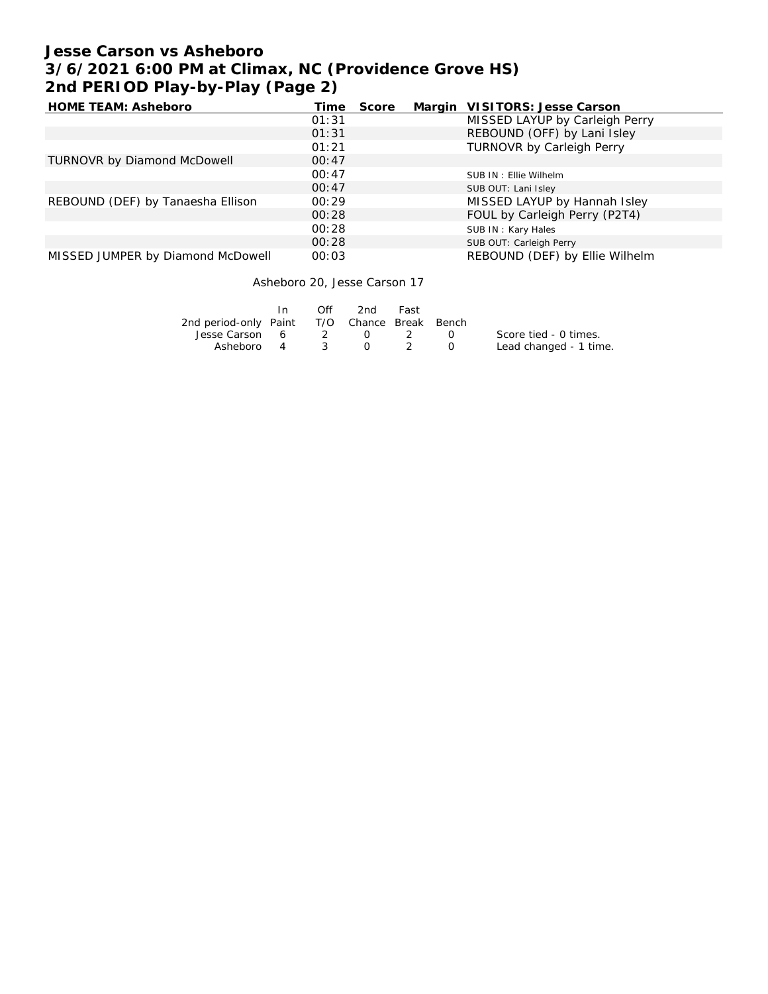# **Jesse Carson vs Asheboro 3/6/2021 6:00 PM at Climax, NC (Providence Grove HS) 2nd PERIOD Play-by-Play (Page 2)**

| HOME TEAM: Asheboro               | Time  | Score | Margin VISITORS: Jesse Carson    |
|-----------------------------------|-------|-------|----------------------------------|
|                                   | 01:31 |       | MISSED LAYUP by Carleigh Perry   |
|                                   | 01:31 |       | REBOUND (OFF) by Lani Isley      |
|                                   | 01:21 |       | <b>TURNOVR by Carleigh Perry</b> |
| TURNOVR by Diamond McDowell       | 00:47 |       |                                  |
|                                   | 00:47 |       | SUB IN: Ellie Wilhelm            |
|                                   | 00:47 |       | SUB OUT: Lani Isley              |
| REBOUND (DEF) by Tanaesha Ellison | 00:29 |       | MISSED LAYUP by Hannah Isley     |
|                                   | 00:28 |       | FOUL by Carleigh Perry (P2T4)    |
|                                   | 00:28 |       | SUB IN: Kary Hales               |
|                                   | 00:28 |       | SUB OUT: Carleigh Perry          |
| MISSED JUMPER by Diamond McDowell | 00:03 |       | REBOUND (DEF) by Ellie Wilhelm   |

Asheboro 20, Jesse Carson 17

|                                              | $\bigcap$ ff | 2nd       | Fast |                  |                        |
|----------------------------------------------|--------------|-----------|------|------------------|------------------------|
| 2nd period-only Paint T/O Chance Break Bench |              |           |      |                  |                        |
| Jesse Carson $6$ $2$ $0$ $2$ $0$             |              |           |      |                  | Score tied - 0 times.  |
| Asheboro 4                                   | $\sim$ 3     | $\bigcap$ |      | $\left( \right)$ | Lead changed - 1 time. |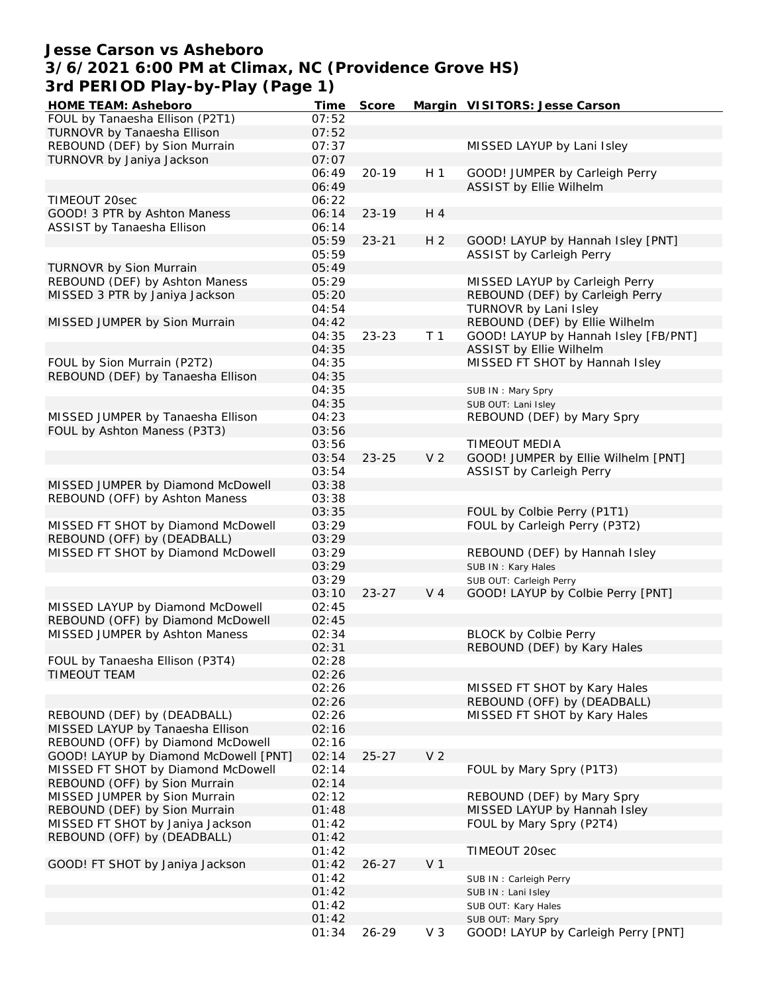### **Jesse Carson vs Asheboro 3/6/2021 6:00 PM at Climax, NC (Providence Grove HS) 3rd PERIOD Play-by-Play (Page 1)**

| HOME TEAM: Asheboro                   | Time  | Score     |                | Margin VISITORS: Jesse Carson        |
|---------------------------------------|-------|-----------|----------------|--------------------------------------|
| FOUL by Tanaesha Ellison (P2T1)       | 07:52 |           |                |                                      |
| TURNOVR by Tanaesha Ellison           | 07:52 |           |                |                                      |
| REBOUND (DEF) by Sion Murrain         | 07:37 |           |                | MISSED LAYUP by Lani Isley           |
| TURNOVR by Janiya Jackson             | 07:07 |           |                |                                      |
|                                       | 06:49 | $20 - 19$ | H <sub>1</sub> | GOOD! JUMPER by Carleigh Perry       |
|                                       | 06:49 |           |                | ASSIST by Ellie Wilhelm              |
| TIMEOUT 20sec                         | 06:22 |           |                |                                      |
| GOOD! 3 PTR by Ashton Maness          | 06:14 | $23 - 19$ | H 4            |                                      |
| ASSIST by Tanaesha Ellison            | 06:14 |           |                |                                      |
|                                       | 05:59 | $23 - 21$ | H <sub>2</sub> | GOOD! LAYUP by Hannah Isley [PNT]    |
|                                       | 05:59 |           |                | <b>ASSIST by Carleigh Perry</b>      |
| TURNOVR by Sion Murrain               | 05:49 |           |                |                                      |
| REBOUND (DEF) by Ashton Maness        | 05:29 |           |                | MISSED LAYUP by Carleigh Perry       |
| MISSED 3 PTR by Janiya Jackson        | 05:20 |           |                | REBOUND (DEF) by Carleigh Perry      |
|                                       | 04:54 |           |                | TURNOVR by Lani Isley                |
| MISSED JUMPER by Sion Murrain         | 04:42 |           |                | REBOUND (DEF) by Ellie Wilhelm       |
|                                       | 04:35 | $23 - 23$ | T <sub>1</sub> | GOOD! LAYUP by Hannah Isley [FB/PNT] |
|                                       |       |           |                |                                      |
|                                       | 04:35 |           |                | ASSIST by Ellie Wilhelm              |
| FOUL by Sion Murrain (P2T2)           | 04:35 |           |                | MISSED FT SHOT by Hannah Isley       |
| REBOUND (DEF) by Tanaesha Ellison     | 04:35 |           |                |                                      |
|                                       | 04:35 |           |                | SUB IN: Mary Spry                    |
|                                       | 04:35 |           |                | SUB OUT: Lani Isley                  |
| MISSED JUMPER by Tanaesha Ellison     | 04:23 |           |                | REBOUND (DEF) by Mary Spry           |
| FOUL by Ashton Maness (P3T3)          | 03:56 |           |                |                                      |
|                                       | 03:56 |           |                | <b>TIMEOUT MEDIA</b>                 |
|                                       | 03:54 | $23 - 25$ | V <sub>2</sub> | GOOD! JUMPER by Ellie Wilhelm [PNT]  |
|                                       | 03:54 |           |                | ASSIST by Carleigh Perry             |
| MISSED JUMPER by Diamond McDowell     | 03:38 |           |                |                                      |
| REBOUND (OFF) by Ashton Maness        | 03:38 |           |                |                                      |
|                                       | 03:35 |           |                | FOUL by Colbie Perry (P1T1)          |
| MISSED FT SHOT by Diamond McDowell    | 03:29 |           |                | FOUL by Carleigh Perry (P3T2)        |
| REBOUND (OFF) by (DEADBALL)           | 03:29 |           |                |                                      |
| MISSED FT SHOT by Diamond McDowell    | 03:29 |           |                | REBOUND (DEF) by Hannah Isley        |
|                                       | 03:29 |           |                | SUB IN: Kary Hales                   |
|                                       | 03:29 |           |                | SUB OUT: Carleigh Perry              |
|                                       | 03:10 | $23 - 27$ | V <sub>4</sub> | GOOD! LAYUP by Colbie Perry [PNT]    |
| MISSED LAYUP by Diamond McDowell      | 02:45 |           |                |                                      |
| REBOUND (OFF) by Diamond McDowell     | 02:45 |           |                |                                      |
| MISSED JUMPER by Ashton Maness        | 02:34 |           |                | <b>BLOCK by Colbie Perry</b>         |
|                                       | 02:31 |           |                | REBOUND (DEF) by Kary Hales          |
| FOUL by Tanaesha Ellison (P3T4)       | 02:28 |           |                |                                      |
| <b>TIMEOUT TEAM</b>                   | 02:26 |           |                |                                      |
|                                       | 02:26 |           |                | MISSED FT SHOT by Kary Hales         |
|                                       | 02:26 |           |                | REBOUND (OFF) by (DEADBALL)          |
| REBOUND (DEF) by (DEADBALL)           | 02:26 |           |                | MISSED FT SHOT by Kary Hales         |
| MISSED LAYUP by Tanaesha Ellison      | 02:16 |           |                |                                      |
| REBOUND (OFF) by Diamond McDowell     | 02:16 |           |                |                                      |
| GOOD! LAYUP by Diamond McDowell [PNT] | 02:14 | $25 - 27$ | V <sub>2</sub> |                                      |
| MISSED FT SHOT by Diamond McDowell    | 02:14 |           |                | FOUL by Mary Spry (P1T3)             |
| REBOUND (OFF) by Sion Murrain         | 02:14 |           |                |                                      |
| MISSED JUMPER by Sion Murrain         | 02:12 |           |                | REBOUND (DEF) by Mary Spry           |
| REBOUND (DEF) by Sion Murrain         | 01:48 |           |                | MISSED LAYUP by Hannah Isley         |
| MISSED FT SHOT by Janiya Jackson      | 01:42 |           |                | FOUL by Mary Spry (P2T4)             |
| REBOUND (OFF) by (DEADBALL)           | 01:42 |           |                |                                      |
|                                       | 01:42 |           |                | TIMEOUT 20sec                        |
| GOOD! FT SHOT by Janiya Jackson       | 01:42 | $26 - 27$ | V <sub>1</sub> |                                      |
|                                       | 01:42 |           |                | SUB IN: Carleigh Perry               |
|                                       | 01:42 |           |                | SUB IN: Lani Isley                   |
|                                       | 01:42 |           |                | SUB OUT: Kary Hales                  |
|                                       | 01:42 |           |                | SUB OUT: Mary Spry                   |
|                                       | 01:34 | $26 - 29$ | $V_3$          | GOOD! LAYUP by Carleigh Perry [PNT]  |
|                                       |       |           |                |                                      |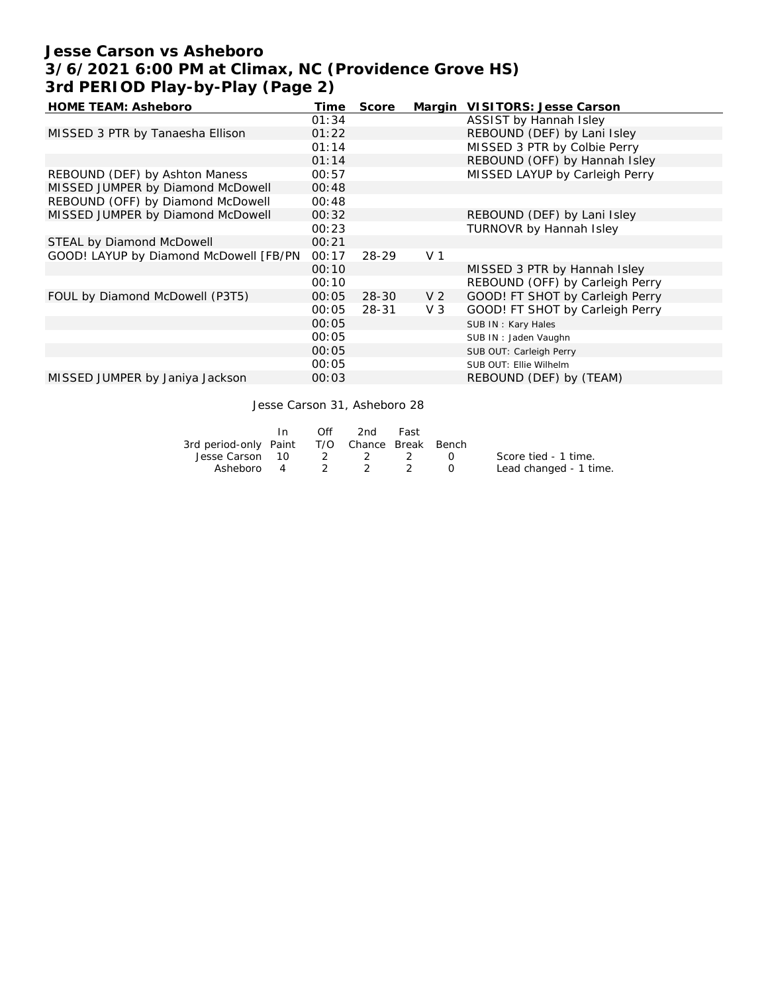# **Jesse Carson vs Asheboro 3/6/2021 6:00 PM at Climax, NC (Providence Grove HS) 3rd PERIOD Play-by-Play (Page 2)**

| <b>HOME TEAM: Asheboro</b>             | Time  | Score     |                | Margin VISITORS: Jesse Carson   |
|----------------------------------------|-------|-----------|----------------|---------------------------------|
|                                        | 01:34 |           |                | ASSIST by Hannah Isley          |
| MISSED 3 PTR by Tanaesha Ellison       | 01:22 |           |                | REBOUND (DEF) by Lani Isley     |
|                                        | 01:14 |           |                | MISSED 3 PTR by Colbie Perry    |
|                                        | 01:14 |           |                | REBOUND (OFF) by Hannah Isley   |
| REBOUND (DEF) by Ashton Maness         | 00:57 |           |                | MISSED LAYUP by Carleigh Perry  |
| MISSED JUMPER by Diamond McDowell      | 00:48 |           |                |                                 |
| REBOUND (OFF) by Diamond McDowell      | 00:48 |           |                |                                 |
| MISSED JUMPER by Diamond McDowell      | 00:32 |           |                | REBOUND (DEF) by Lani Isley     |
|                                        | 00:23 |           |                | TURNOVR by Hannah Isley         |
| STEAL by Diamond McDowell              | 00:21 |           |                |                                 |
| GOOD! LAYUP by Diamond McDowell [FB/PN | 00:17 | 28-29     | V <sub>1</sub> |                                 |
|                                        | 00:10 |           |                | MISSED 3 PTR by Hannah Isley    |
|                                        | 00:10 |           |                | REBOUND (OFF) by Carleigh Perry |
| FOUL by Diamond McDowell (P3T5)        | 00:05 | $28 - 30$ | V <sub>2</sub> | GOOD! FT SHOT by Carleigh Perry |
|                                        | 00:05 | 28-31     | $V_3$          | GOOD! FT SHOT by Carleigh Perry |
|                                        | 00:05 |           |                | SUB IN: Kary Hales              |
|                                        | 00:05 |           |                | SUB IN: Jaden Vaughn            |
|                                        | 00:05 |           |                | SUB OUT: Carleigh Perry         |
|                                        | 00:05 |           |                | SUB OUT: Ellie Wilhelm          |
| MISSED JUMPER by Janiya Jackson        | 00:03 |           |                | REBOUND (DEF) by (TEAM)         |

Jesse Carson 31, Asheboro 28

|                                              | $\mathsf{In}$ | Off | 2nd | Fast |                        |
|----------------------------------------------|---------------|-----|-----|------|------------------------|
| 3rd period-only Paint T/O Chance Break Bench |               |     |     |      |                        |
| Jesse Carson 10 2 2 2 0                      |               |     |     |      | Score tied - 1 time.   |
| Asheboro 4 2 2 2                             |               |     |     |      | Lead changed - 1 time. |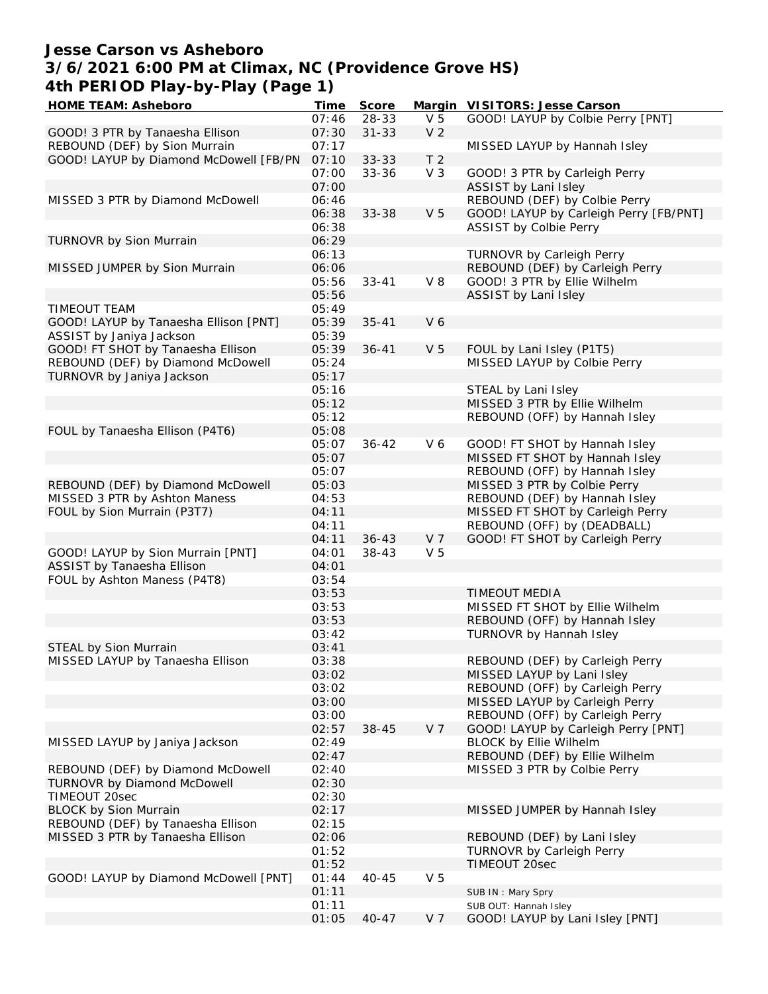### **Jesse Carson vs Asheboro 3/6/2021 6:00 PM at Climax, NC (Providence Grove HS) 4th PERIOD Play-by-Play (Page 1)**

| HOME TEAM: Asheboro                    | Time  | Score     |                | Margin VISITORS: Jesse Carson          |
|----------------------------------------|-------|-----------|----------------|----------------------------------------|
|                                        | 07:46 | 28-33     | V <sub>5</sub> | GOOD! LAYUP by Colbie Perry [PNT]      |
| GOOD! 3 PTR by Tanaesha Ellison        | 07:30 | $31 - 33$ | V <sub>2</sub> |                                        |
| REBOUND (DEF) by Sion Murrain          | 07:17 |           |                | MISSED LAYUP by Hannah Isley           |
| GOOD! LAYUP by Diamond McDowell [FB/PN | 07:10 | $33 - 33$ | T <sub>2</sub> |                                        |
|                                        | 07:00 | $33 - 36$ | V <sub>3</sub> | GOOD! 3 PTR by Carleigh Perry          |
|                                        | 07:00 |           |                | ASSIST by Lani Isley                   |
| MISSED 3 PTR by Diamond McDowell       | 06:46 |           |                | REBOUND (DEF) by Colbie Perry          |
|                                        | 06:38 | 33-38     | V <sub>5</sub> | GOOD! LAYUP by Carleigh Perry [FB/PNT] |
|                                        | 06:38 |           |                | ASSIST by Colbie Perry                 |
| TURNOVR by Sion Murrain                | 06:29 |           |                |                                        |
|                                        | 06:13 |           |                | TURNOVR by Carleigh Perry              |
| MISSED JUMPER by Sion Murrain          | 06:06 |           |                | REBOUND (DEF) by Carleigh Perry        |
|                                        |       |           |                |                                        |
|                                        | 05:56 | $33 - 41$ | $V_8$          | GOOD! 3 PTR by Ellie Wilhelm           |
|                                        | 05:56 |           |                | ASSIST by Lani Isley                   |
| TIMEOUT TEAM                           | 05:49 |           |                |                                        |
| GOOD! LAYUP by Tanaesha Ellison [PNT]  | 05:39 | $35 - 41$ | V6             |                                        |
| ASSIST by Janiya Jackson               | 05:39 |           |                |                                        |
| GOOD! FT SHOT by Tanaesha Ellison      | 05:39 | $36 - 41$ | V <sub>5</sub> | FOUL by Lani Isley (P1T5)              |
| REBOUND (DEF) by Diamond McDowell      | 05:24 |           |                | MISSED LAYUP by Colbie Perry           |
| TURNOVR by Janiya Jackson              | 05:17 |           |                |                                        |
|                                        | 05:16 |           |                | STEAL by Lani Isley                    |
|                                        | 05:12 |           |                | MISSED 3 PTR by Ellie Wilhelm          |
|                                        | 05:12 |           |                | REBOUND (OFF) by Hannah Isley          |
| FOUL by Tanaesha Ellison (P4T6)        | 05:08 |           |                |                                        |
|                                        | 05:07 | $36 - 42$ | V6             | GOOD! FT SHOT by Hannah Isley          |
|                                        | 05:07 |           |                | MISSED FT SHOT by Hannah Isley         |
|                                        | 05:07 |           |                | REBOUND (OFF) by Hannah Isley          |
| REBOUND (DEF) by Diamond McDowell      | 05:03 |           |                | MISSED 3 PTR by Colbie Perry           |
| MISSED 3 PTR by Ashton Maness          | 04:53 |           |                | REBOUND (DEF) by Hannah Isley          |
| FOUL by Sion Murrain (P3T7)            | 04:11 |           |                | MISSED FT SHOT by Carleigh Perry       |
|                                        | 04:11 |           |                | REBOUND (OFF) by (DEADBALL)            |
|                                        | 04:11 | $36 - 43$ | V 7            | GOOD! FT SHOT by Carleigh Perry        |
| GOOD! LAYUP by Sion Murrain [PNT]      | 04:01 | $38 - 43$ | V <sub>5</sub> |                                        |
| ASSIST by Tanaesha Ellison             | 04:01 |           |                |                                        |
| FOUL by Ashton Maness (P4T8)           | 03:54 |           |                |                                        |
|                                        | 03:53 |           |                | <b>TIMEOUT MEDIA</b>                   |
|                                        | 03:53 |           |                | MISSED FT SHOT by Ellie Wilhelm        |
|                                        | 03:53 |           |                |                                        |
|                                        |       |           |                | REBOUND (OFF) by Hannah Isley          |
|                                        | 03:42 |           |                | TURNOVR by Hannah Isley                |
| STEAL by Sion Murrain                  | 03:41 |           |                |                                        |
| MISSED LAYUP by Tanaesha Ellison       | 03:38 |           |                | REBOUND (DEF) by Carleigh Perry        |
|                                        | 03:02 |           |                | MISSED LAYUP by Lani Isley             |
|                                        | 03:02 |           |                | REBOUND (OFF) by Carleigh Perry        |
|                                        | 03:00 |           |                | MISSED LAYUP by Carleigh Perry         |
|                                        | 03:00 |           |                | REBOUND (OFF) by Carleigh Perry        |
|                                        | 02:57 | 38-45     | V <sub>7</sub> | GOOD! LAYUP by Carleigh Perry [PNT]    |
| MISSED LAYUP by Janiya Jackson         | 02:49 |           |                | <b>BLOCK by Ellie Wilhelm</b>          |
|                                        | 02:47 |           |                | REBOUND (DEF) by Ellie Wilhelm         |
| REBOUND (DEF) by Diamond McDowell      | 02:40 |           |                | MISSED 3 PTR by Colbie Perry           |
| TURNOVR by Diamond McDowell            | 02:30 |           |                |                                        |
| TIMEOUT 20sec                          | 02:30 |           |                |                                        |
| <b>BLOCK by Sion Murrain</b>           | 02:17 |           |                | MISSED JUMPER by Hannah Isley          |
| REBOUND (DEF) by Tanaesha Ellison      | 02:15 |           |                |                                        |
| MISSED 3 PTR by Tanaesha Ellison       | 02:06 |           |                | REBOUND (DEF) by Lani Isley            |
|                                        | 01:52 |           |                | TURNOVR by Carleigh Perry              |
|                                        | 01:52 |           |                | TIMEOUT 20sec                          |
| GOOD! LAYUP by Diamond McDowell [PNT]  | 01:44 | $40 - 45$ | V <sub>5</sub> |                                        |
|                                        | 01:11 |           |                | SUB IN: Mary Spry                      |
|                                        | 01:11 |           |                | SUB OUT: Hannah Isley                  |
|                                        | 01:05 | $40 - 47$ | V <sub>7</sub> | GOOD! LAYUP by Lani Isley [PNT]        |
|                                        |       |           |                |                                        |